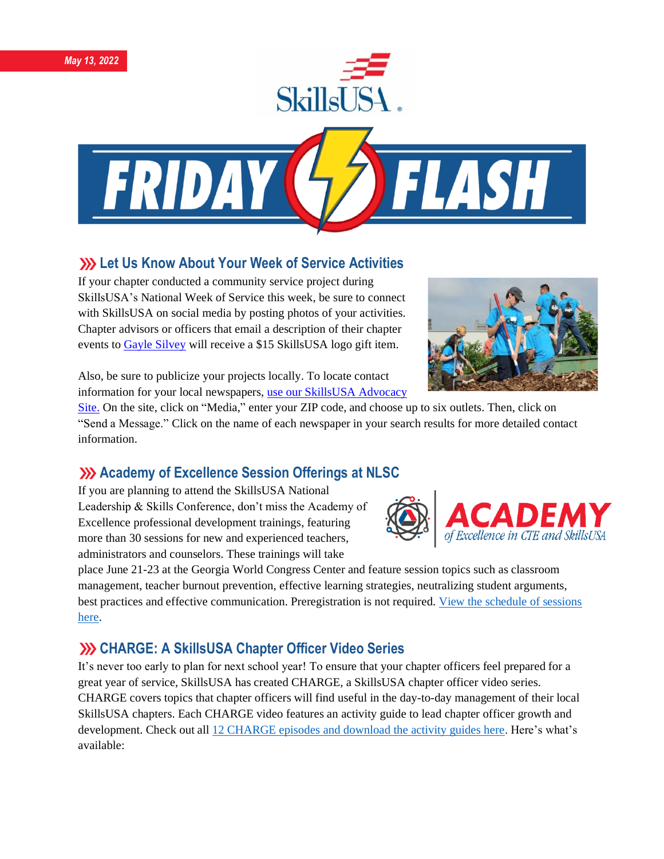



# **222 Let Us Know About Your Week of Service Activities**

If your chapter conducted a community service project during SkillsUSA's National Week of Service this week, be sure to connect with SkillsUSA on social media by posting photos of your activities. Chapter advisors or officers that email a description of their chapter events to [Gayle Silvey](mailto:gsilvey@skillsusa.org) will receive a \$15 SkillsUSA logo gift item.



Also, be sure to publicize your projects locally. To locate contact information for your local newspapers, [use our SkillsUSA Advocacy](https://www.congressweb.com/susa#/media) 

[Site.](https://www.congressweb.com/susa#/media) On the site, click on "Media," enter your ZIP code, and choose up to six outlets. Then, click on "Send a Message." Click on the name of each newspaper in your search results for more detailed contact information.

### **Academy of Excellence Session Offerings at NLSC**

If you are planning to attend the SkillsUSA National Leadership & Skills Conference, don't miss the Academy of Excellence professional development trainings, featuring more than 30 sessions for new and experienced teachers, administrators and counselors. These trainings will take



place June 21-23 at the Georgia World Congress Center and feature session topics such as classroom management, teacher burnout prevention, effective learning strategies, neutralizing student arguments, best practices and effective communication. Preregistration is not required. [View the schedule of sessions](https://www.skillsusa.org/wp-content/uploads/2022/04/Academy-of-Excellence-Offerings-2022.pdf)  [here.](https://www.skillsusa.org/wp-content/uploads/2022/04/Academy-of-Excellence-Offerings-2022.pdf)

# **CHARGE: A SkillsUSA Chapter Officer Video Series**

It's never too early to plan for next school year! To ensure that your chapter officers feel prepared for a great year of service, SkillsUSA has created CHARGE, a SkillsUSA chapter officer video series. CHARGE covers topics that chapter officers will find useful in the day-to-day management of their local SkillsUSA chapters. Each CHARGE video features an activity guide to lead chapter officer growth and development. Check out al[l 12 CHARGE episodes and download the activity guides here.](https://www.skillsusa.org/membership-resources/students/chapter-officers-charge-video-series/) Here's what's available: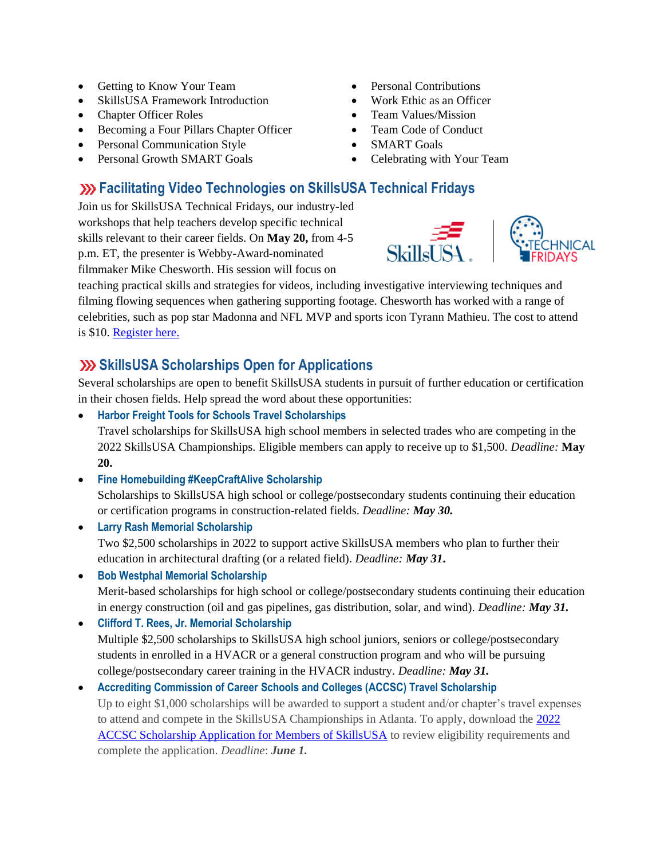- Getting to Know Your Team
- SkillsUSA Framework Introduction
- Chapter Officer Roles
- Becoming a Four Pillars Chapter Officer
- Personal Communication Style
- Personal Growth SMART Goals
- Personal Contributions
- Work Ethic as an Officer
- Team Values/Mission
- Team Code of Conduct
- **SMART Goals**
- Celebrating with Your Team

**SkillsI ISA** 

# **Facilitating Video Technologies on SkillsUSA Technical Fridays**

Join us for SkillsUSA Technical Fridays, our industry-led workshops that help teachers develop specific technical skills relevant to their career fields. On **May 20,** from 4-5 p.m. ET, the presenter is Webby-Award-nominated filmmaker Mike Chesworth. His session will focus on

teaching practical skills and strategies for videos, including investigative interviewing techniques and filming flowing sequences when gathering supporting footage. Chesworth has worked with a range of celebrities, such as pop star Madonna and NFL MVP and sports icon Tyrann Mathieu. The cost to attend is \$10. [Register here.](https://skillsusa.wufoo.com/forms/love-and-logic-and-technical-fridays-registration)

## **ShillsUSA Scholarships Open for Applications**

Several scholarships are open to benefit SkillsUSA students in pursuit of further education or certification in their chosen fields. Help spread the word about these opportunities:

• **Harbor Freight Tools for Schools Travel Scholarships**

Travel scholarships for SkillsUSA high school members in selected trades who are competing in the 2022 SkillsUSA Championships. Eligible members can apply to receive up to \$1,500. *Deadline:* **May 20.**

• **Fine Homebuilding #KeepCraftAlive Scholarship**

Scholarships to SkillsUSA high school or college/postsecondary students continuing their education or certification programs in construction-related fields. *Deadline: May 30.*

• **Larry Rash Memorial Scholarship**  Two \$2,500 scholarships in 2022 to support active SkillsUSA members who plan to further their education in architectural drafting (or a related field). *Deadline: May 31***.**

• **Bob Westphal Memorial Scholarship** Merit-based scholarships for high school or college/postsecondary students continuing their education in energy construction (oil and gas pipelines, gas distribution, solar, and wind). *Deadline: May 31.*

• **Clifford T. Rees, Jr. Memorial Scholarship** Multiple \$2,500 scholarships to SkillsUSA high school juniors, seniors or college/postsecondary students in enrolled in a HVACR or a general construction program and who will be pursuing college/postsecondary career training in the HVACR industry. *Deadline: May 31.*

#### • **Accrediting Commission of Career Schools and Colleges (ACCSC) Travel Scholarship**

Up to eight \$1,000 scholarships will be awarded to support a student and/or chapter's travel expenses to attend and compete in the SkillsUSA Championships in Atlanta. To apply, download the [2022](https://www.accsc.org/UploadedDocuments/Student-Corner/SkillsUSA/ACCSC-SkillsUSA-Scholarship-2022-v.docx)  [ACCSC Scholarship Application for Members of SkillsUSA](https://www.accsc.org/UploadedDocuments/Student-Corner/SkillsUSA/ACCSC-SkillsUSA-Scholarship-2022-v.docx) to review eligibility requirements and complete the application. *Deadline*: *June 1.*